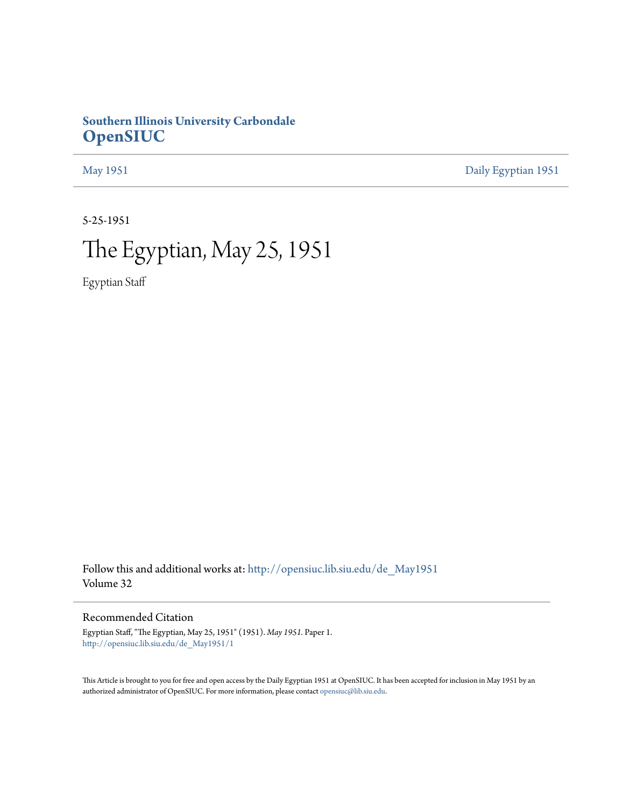## **Southern Illinois University Carbondale [OpenSIUC](http://opensiuc.lib.siu.edu?utm_source=opensiuc.lib.siu.edu%2Fde_May1951%2F1&utm_medium=PDF&utm_campaign=PDFCoverPages)**

[May 1951](http://opensiuc.lib.siu.edu/de_May1951?utm_source=opensiuc.lib.siu.edu%2Fde_May1951%2F1&utm_medium=PDF&utm_campaign=PDFCoverPages) [Daily Egyptian 1951](http://opensiuc.lib.siu.edu/de_1951?utm_source=opensiuc.lib.siu.edu%2Fde_May1951%2F1&utm_medium=PDF&utm_campaign=PDFCoverPages)

5-25-1951

# The Egyptian, May 25, 1951

Egyptian Staff

Follow this and additional works at: [http://opensiuc.lib.siu.edu/de\\_May1951](http://opensiuc.lib.siu.edu/de_May1951?utm_source=opensiuc.lib.siu.edu%2Fde_May1951%2F1&utm_medium=PDF&utm_campaign=PDFCoverPages) Volume 32

Recommended Citation

Egyptian Staff, "The Egyptian, May 25, 1951" (1951). *May 1951.* Paper 1. [http://opensiuc.lib.siu.edu/de\\_May1951/1](http://opensiuc.lib.siu.edu/de_May1951/1?utm_source=opensiuc.lib.siu.edu%2Fde_May1951%2F1&utm_medium=PDF&utm_campaign=PDFCoverPages)

This Article is brought to you for free and open access by the Daily Egyptian 1951 at OpenSIUC. It has been accepted for inclusion in May 1951 by an authorized administrator of OpenSIUC. For more information, please contact [opensiuc@lib.siu.edu](mailto:opensiuc@lib.siu.edu).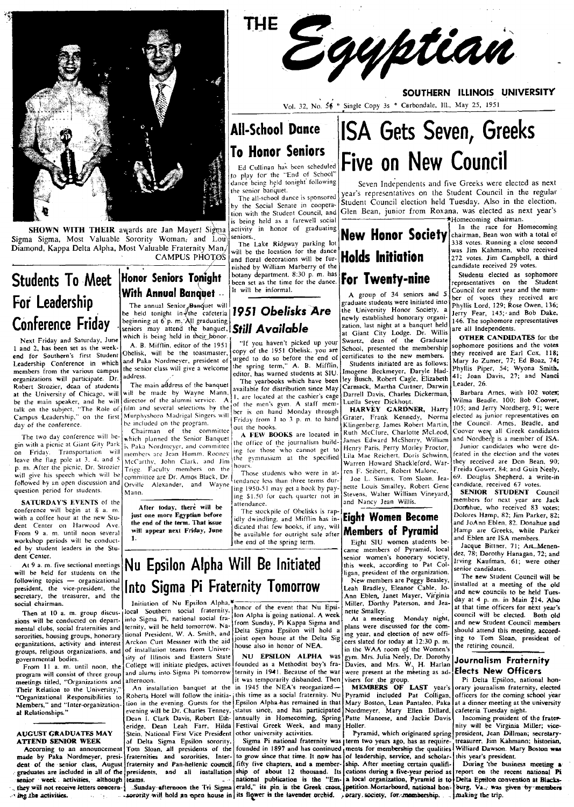

SHOWN WITH THEIR awards are Jan Mayer! Sigma Sigma Sigma, Most Valuable Sorority Woman, and Lou Diamond, Kappa Delta Alpha, Most Valuable Fraternity Man,

## CAMPUS PHOTOS

will be the location for the dance and floral decorations will be furnished by William Marberry of the botany department. 8:30 p.m. has<br>been set as the time for the dance. It will be informal.

**All-School Dance** 

**To Honor Seniors** 

the senior banquet.

seniors.

Ed Cullinan has been scheduled<br>to play for the "End of School"<br>dance being held tonight following

The all-school dance is sponsored

by the Social Senate in coopera-

tion with the Student Council, and

is being held as a farewell social

activity in honor of graduating

The Lake Ridgway parking lot

**THE** 

# 1951 Obelisks Are

"If you haven't picked up your<br>copy of the 1951 Obelisk, you are urged to do so before the end of the spring term," A. B. Mifflin, editor, has warned students at SIU.

The yearbooks which have been available for distribution since May 1, are located at the cashier's cage of the men's gym. A staff member is on hand Monday through Friday from 1 to 3 p. m. to hand out the books.

A FEW BOOKS are located in the office of the journalism build-<br>ing for those who cannot get to the gymnasium at the specified hours

Those students who were in attendance less than three terms dur-[ing 1950-51 may get a book by paying \$1.50 for each quarter not in attendance.

The stockpile of Obelisks is rapidly dwindling, and Mifflin has indicated that few books, if any, will be available for outright sale after the end of the spring term.

# **ISA Gets Seven, Greeks** Five on New Council

Seven Independents and five Greeks were elected as next year's representatives on the Student Council in the regular Student Council election held Tuesday. Also in the election, Glen Bean, junior from Roxana, was elected as next year's \*Homecoming chairman.

SOUTHERN ILLINOIS UNIVERSITY

# **Holds Initiation** For Twenty-nine

Egyptian

Vol. 32, No. 56 \* Single Copy 3s \* Carbondale, Ill., May 25, 1951

A group of 34 seniors and 5 graduate students were initiated into the University Honor Society, a newly established honorary organization, last night at a banquet held at Giant City Lodge. Dr. Willis<br>Swartz, dean of the Graduate School, presented the membership certificates to the new members. Students initiated are as follows Imogene Beckmeyer, Daryle Hadley Busch, Robert Cagle, Elizabeth Carmack, Martha Curtner, Darwin Darrell Davis, Charles Dickerman.

Darren Davis, Chanes Dickerman,<br>Luella Seyer Dickhout.<br>HARVEY GARDNER, Harry Grater, Frank Kennedy, Norma Klingenberg, James Robert Martin, Ruth McClure, Charlotte McLeod, James Edward McSherry, William<br>Henry Paris, Perry Morley Proctor, Lila Mae Reichert, Doris Schwinn, Warren Howard Shackleford, Warren F. Seibert, Robert Malone,

Joe L. Simms, Tom Sloan, Jea nette Louis Smalley, Robert Gene Stevens, Walter William Vineyard, and Nancy Jean Willis.

### **Eight Women Become Members of Pyramid**

Eight SIU women students became members of Pyramid, local<br>senior women's honorary society,<br>this week, according to Pat Colligan, president of the organization. New members are Peggy Beasley, Leah Bradley, Eleanor Cable, Jo-Ann Eblen, Janet Mayer, Virginia

Miller, Dorthy Paterson, and Jeanette Smallev. At a meeting Monday night,

plans were discussed for the coming year, and election of new officers slated for today at 12:30 p.m. in the WAA room of the Women's gym. Mrs. Julia Neely, Dr. Dorothy<br>Davies, and Mrs. W. H. Harlan<br>were present at the meeting as advisers for the group.<br>MEMBERS OF

LAST year's Pyramid included Pat Colligan, Mary Boston, Lean Pantaleo, Paka<br>Nordmeyer, Mary Ellen Dillard,<br>Patte Maneese, and Jackie Davis Holler.

Sigma Pi national fraternity was term two years ago, has as requirements for membership the qualities of leadership, service, and scholarship. After meeting certain qualifications during a five-year period as eams. The capacity of the capacity of the capacity of the capacity of the capacity of the capacity of the capacity of the capacity of the capacity of the capacity of the capacity of the capacity of the capacity of the capa

In the race for Homecoming New Honor Society Chairman, Bean won with a total of 338 votes. Running a close second was Jim Kahmann, who received 272 votes. Jim Campbell, a third candidate received 29 votes.

Students elected as sophomore representatives on the Student Council for next year and the number of votes they received are<br>Phyllis Lord, 129; Rose Owen, 136; Jerry Fear, 145; and Bob Dake, 146. The sophomore representatives are all Independents.

OTHER CANDIDATES for the sophomore positions and the votes they received are Earl Cox, 118; Mary Jo Zumer, 77; Ed Boaz, 74; Phyllis Piper, 54; Wyona Smith, 41; Joan Davis, 27; and Nanci Leader, 26.

Barbara Ames, with 102 votes; Wilma Beadle, 100; Bob Coover,<br>105; and Jerry Nordberg, 91; were elected as junior representatives on the Council. Ames, Beadle, and Coover were all Greek candidates<br>and Nordberg is a member of ISA.

Junior candidates who were defeated in the election and the votes they received are Don Bean, 90; Freida Gower, 84; and Guin Neely, 69. Douglas Shepherd, a write-in candidate, received 67 votes.

SENIOR STUDENT Council members for next year are Jack Domahue, who received 83 votes; Dolores Hamp, 82; Jim Parker, 82; and JoAnn Eblen, 82. Donahue and Hamp are Greeks, while Parker and Eblen are ISA members.

Jacque Bittner, 71; Art\_Menendez, 78; Dorothy Hanagan, 72; and Irving Kaufman, 61; were other senior candidates.

The new Student Council will be installed at a meeting of the old and new councils to be held Tuesday at 4 p. m. in Main 214. Also at that time officers for next year's council will be elected. Both old and new Student Council members should attend this meeting, according to Tom Sloan, president of the retiring council.

#### Journalism Fraternity **Elects New Officers**

Pi Delta Epsilon, national honrary journalism fraternity, elected officers for the coming school year at a dinner meeting at the university

cafeteria Tuesday night.<br>
Incoming president of the frater-<br>
nity will be Virginia Miller; vice-Pyramid, which originated spring president, Jean Dillman; secretarytreasurer, Jim Kahmann; historian, Williard Dawson. Mary Boston was this year's president.

During the business meeting a report on the recent national Pi burg. Va., was given by members ... making the trip.

## **Students To Meet** For Leadership **Conference Friday**

Next Friday and Saturday, June 1 and 2, has been set as the weekend for Southern's first Student Leadership Conference in which members from the various campus organizations will participate. Dr. Robert Strozier, dean of students Robert Strozier, dean or students<br>at the University of Chicago, will<br>be the main speaker, and he will<br>talk on the subject, "The Roie of<br>Campus Leadership," on the first day of the conference.

The two day conference will begin with a picnic at Giant Gity Park on Friday. Transportation will leave the flag pole at 3, 4, and 5 p. m. After the picnic, Dr. Strozier will give his speech which will be followed by an open discussion and question period for students.

SATURDAY'S EVENTS of the conference will begin at 8 a. m. with a coffee hour at the new Stu-<br>dent Center on Harwood Ave. From 9 a. m. until noon several workshop periods will be conducted by student leaders in the Student Center.

At 9 a. m. five sectional meetings will be held for students on the following topics - organizational secretary, the treasurer, and the social chairman.

Then at 10 a. m. group discussions will be conducted on departmental clubs, social fraternities and sororities, housing groups, honorary organizations, activity and interest groups, religious organizations, and governmental bodies.

From 11 a. m. until noon, the program will consist of three group meetings titled, "Organizations and Their Relation to the University," "Organizational Responsibilities to<br>Members," and "Inter-organization-<br>at Relationships."

#### **AUGUST GRADUATES MAY ATTEND SENIOR WEEK**

Accorning to an announcement made by Paka Nordmeyer, president of the senior class, August graduates are included in all of the senior week activities, although teams. they will not receive letters concern-- ing the activities.

### Honor Seniors Toniaht **With Annual Banguet --**The annual Senior Banquet will

be held tonight in the cafetria 1951 Obelisks<br>beginning at 6 p. m. All graduating<br>seniors may attend the banquet. Still Available which is being held in their honor

A. B. Mifflin, editor of the 1951 Obelisk, will be the toastmaster, and Paka Nordmeyer, president of the senior class will give a welcome address.

The main address of the banquet will be made by Wayne Mann, director of the alumni service.  $\mathbf{A}$ film and several selections by the Murphysboro Madrigal Singers will be included on the program.<br>Chairman of the committee

which planned the Senior Banquet is Paka Nordmeyer, and committee members are Jean Humm, Rooney McCarthy, John Clark, and Jim Trigg. Faculty members on the committee are Dr. Amos Black, Dr. Orville Alexander, and Wayne Mann.

After today, there will be just one more Egyptian before the end of the term. That issue will appear next Friday, June

Nu Epsilon Alpha Will Be Initiated Iollowing topics - organizational Into Sigma Pi Fraternity Tomorrow

Initiation of Nu Epsilon Alpha,<sup>4</sup> Initiation of Nu Epsilon Alpha,  $\ast$ <br>local Southern social fraternity, honor of the event that Nu Epsi-<br>i. Classe Bi, parliamel social fra-100 Alpha is going national. A week into Sigma Pi, national social fraternity, will be held tomorrow. National President, W. A. Smith, and Arckon Curt Messner with the aid of installation teams from University of Illinois and Eastern State College will initiate pledges, actives and alums into Sigma Pi tomorrow afternoon.

An installation banquet at the Roberts Hotel will follow the initia-j this time as a social fraternity. Nu tion in the evening. Guests for the evening will be Dr. Charles Tenney Dean I. Clark Davis, Robert Etheridge, Dean Leah Farr, Hilda<br>Stein, National First Vice President of Delta Sigma Epsilon sorority, Tom Sloan, all presidents of the fraternity and Pan-hellenic council presidents, and all installation

sorority will hold an open house in its flower is the lavender orchid. porary society, for membership.

from Sunday, Pi Kappa Sigma and Delta Sigma Epsilon will hold a joint open house at the Delta Sig house also in honor of NEA.

NU EPSILON ALPHA was founded as a Methodist boy's fraternity in 1941. Because of the war it was temporarily disbanded. Then in 1945 the NEA's reorganized-Epsilon Alpha has remained in that status since, and has participated<br>annually in Homecoming, Spring<br>Festival Greek Week, and many other university activities.

founded in 1897 and has continued to grow since that time. It now has fifty five chapters, and a membership of about 12 thousand. Its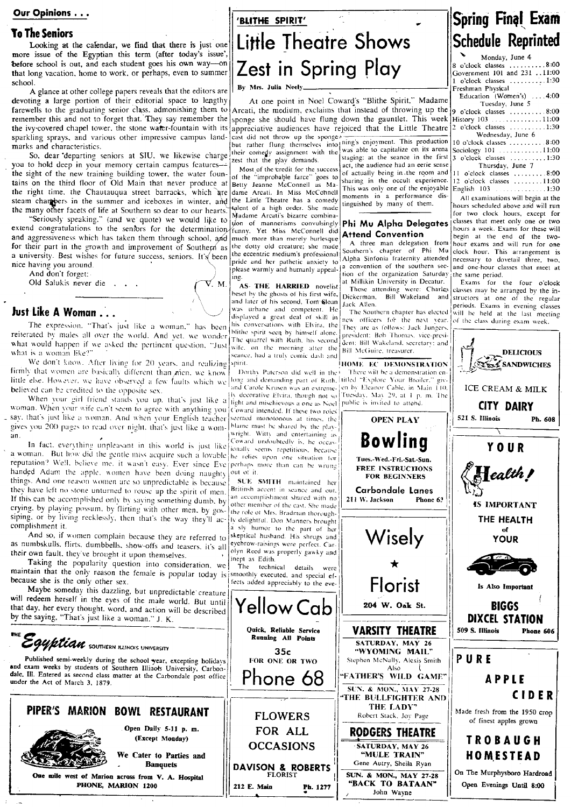#### Our Opinions . . .

#### **To The Seniors**

Looking at the calendar, we find that there is just one more issue of the Egyptian this term (after today's issue', before school is out, and each student goes his own way-on that long vacation, home to work, or perhaps, even to summer school

A glance at other college papers reveals that the editors are devoting a large portion of their editorial space to lengthy farewells to the graduating senior class, admonishing them to remember this and not to forget that. They say remember the the ivy-covered chapel tower, the stone water-fountain with its sparkling sprays, and various other impressive campus landmarks and characteristics.

So, dear departing seniors at SIU, we likewise charge their comedy assignment with the you to hold deep in your memory certain campus featuresthe sight of the new training building tower, the water fountains on the third floor of Old Main that never produce at the right time, the Chautauqua street barracks, which are steam chargeers in the summer and iceboxes in winter, and the Little Theatre has a comedy the many other facets of life at Southern so dear to our hearts.

"Seriously speaking." (and we quote) we would like to extend congratulations to the seniors for the determination. and aggressiveness which has taken them through school, and for their part in the growth and improvement of Southern as a university. Best wishes for future success, seniors. It's been nice having you around.

And don't forget:

Old Salukis never die . . .

### Just Like A Woman . . .

The expression, "That's just like a woman," has been referated by males all over the world. And yet, we wonder the quartel with Ruth, his second what would happen if we asked the pertinent question. "Just with your no name after the what is a woman like?"

We don't know. After living for 20 years, and realizing firmly that women are basically different than nien, we know little else. However, we have observed a few faults which we believed can be credited to the opposite sex.

When your girl friend stands you up, that's just like a light and mischievous a one as Noel public is invited to attend. woman. When your wife can't seem to agree with anything you Coward intended. If these two roles say, that's just like a woman. And when your English teacher seemed monotonous at times, the gives you 200 pages to read over night, that's just like a wom- blame must be shared by the play $an$ 

In fact, everything unpleasant in this world is just like a woman. But how did the gentle miss acquire such a lovable reputation? Well, believe me, it wasn't easy. Ever since Eve perhaps more than can be wrung handed Adam the apple, women have been doing naughty things. And one reason women are so unpredictable is because they have left no stone unturned to rouse up the spirit of men. If this can be accomplished only by saying something dumb, by crying, by playing possum, by flirting with other men, by gossiping, or by living recklessly, then that's the way they'll accomplishment it.

And so, if women complain because they are referred to as numbskulls, flirts, dumbbells, show-offs and teasers, it's all their own fault, they've brought it upon themselves.

Taking the popularity question into consideration, we The technical details were<br>maintain that the only reason the female is popular today is smoothly executed, and special efbecause she is the only other sex.

Maybe someday this dazzling, but unpredictable creature will redeem herself in the eyes of the male world. But until that day, her every thought, word, and action will be described by the saying, "That's just like a woman." J. K.



Ph. 1277

212 E. Main

## BLITHE SPIRIT' Little Theatre Shows Zest in Spring Play

By Mrs. Julia Neely\_

At one point in Noel Coward's "Blithe Spirit," Madame Arcati, the medium, exclaims that instead of throwing up the 9 o'clock classes .......... 8:00 sponge she should have flung down the gauntlet. This week History 103 .......................11:00<br>appreciative audiences have rejoiced that the Little Theatre 2 o'clock classes .............1:30 appreciative audiences have rejoiced that the Little Theatre cast did not throw up the sponge<sup>2</sup> enjoyment. This production<br>but rather flung themselves into ming's enjoyment. This production

was able to capitalize on its arena staging; at the seance in the first test that the play demands. act, the audience had an eerie sense

Most of the credit for the success of the "improbable farce" goes to<br>Betty Jeanne McConnell as Madame Arcati. In Miss McConnell talent of a high order. She made Madame Arcati's bizarre combinadon of mannerisms convulsingly funny. Yet Miss McConnell did much more than merely burlesque he dotty old creature; she made the eccentric medium's professional pride and her pathetic anxiety to please warmly and humanly appeal-<br>a convention of the southern secing

AS THE HARRIED novelist beset by the ghosts of his first wife, and later of his second, Tom Sloan was urbane and competent. He displayed a great deal of skill in his conversations with Elvira, the eance, had a truly comic dash and spirit

V. M.

Dorthy Paterson did well in the long and demanding part of Ruth, titled "Explore Your Broiler," givand Carole Krusen was an extreme-1en by Eleanor Cable, in Main 110, ly decorative Elvira, though not so Tuesday, May 29, at 1 p. m. The wright. Witty and entertaining as Coward undoubtedly is, he occasionally seems repetitious. because he relies upon one situation for out of it.

SUE SMITH maintained her Britinsh accent in seance and out, an accomplishment shared with no other member of the cast. She made inept as Edith.

fects added appreciably to the eve-



of actually being in the room and

sharing in the occult experience.

This was only one of the enjoyable

moments in a performance dis-

Phi Mu Alpha Delegates

A three man delegation from

Southern's chapter of Phi Mu

Alpha Sinfonia fraternity attended

tion of the organization Saturday

Those attending were: Charles<br>ickerman, Bill Wakeland and

The Southern chapter has elected

new officers for the next year.

at Millikin University in Decatur.

tinguished by many of them.

**Attend Convention** 

Dickerman,

211 W. Jackson

"BACK TO BATAAN"

John Wayne

Jack Allen.

## Spring Final Exam **Schedule Reprinted** Monday, June 4

8 o'clock classes ... Government 101 and 231 . . 11:00 o'clock classes ..........1:30 Freshman Physical Education (Women's) 4.00 Tuesday, June 5 Wednesday, June 6 10 o'clock classes .........  $8:00$ Sociology 101 ............11:00 

11 o'clock classes .........8:00 12 o'clock classes ........11:00 English 103  $.1:30$ . . . . . . . .

All examinations will begin at the hours scheduled above and will run for two clock hours, except for classes that meet only one or two hours a week. Exams for these will begin at the end of the twohour exams and will run for one clock hour. This arrangement is necessary to dovetail three, two. and one-hour classes that meet at the same period.

Exams for the four o'clock classes may be arranged by the instructors at one of the regular periods. Exams in evening classes will be held at the last meeting of the class during exam week.



Open Evenings Until 8:00

One mile west of Marion across from V. A. Hospital

PHONE, MARION 1200

the role of Mrs. Bradman thoroughly delightful. Don Manners brought a sly humor to the part of her<br>skeptical hushand. His shrugs and eyebrow-raisings were perfect. Carolyn Reed was properly gawky and were

Yellow Cab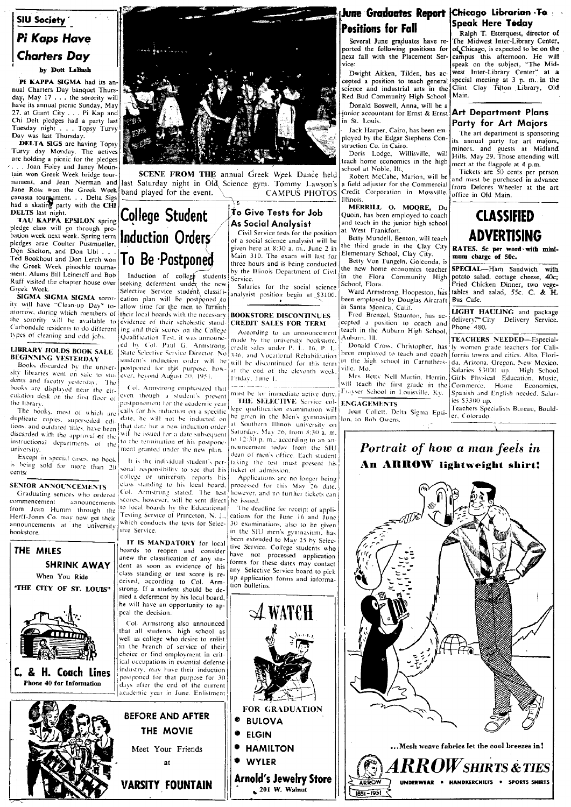### **SIU Society** Pi Kaps Have **Charters Day** by Dott LaBash

PI KAPPA SIGMA had its annual Charters Day banquet Thursday, May 17 . . . the sorority will have its annual picnic Sunday, May 27, at Giant City . . . Pi Kap and Chi Delt pledges had a party last Tuesday night . . . Topsy Turvy<br>Day was last Thursday.

DELTA SIGS are having Topsy Turvy day Monday. The actives are holding a picnic for the pledges . Joan Foley and Janey Mountain won Greek Week bridge tournament, and Jean Nierman and Jane Ross won the Greek Week canasta tournament. . . Delta Sigs<br>had a skating party with the CHI DELTS last night.

TAU KAPPA EPSILON spring pledge class will go through probation week next week. Spring term | Induction Orders pledges arae Coulter Pustmueller,<br>Don Shelton, and Don Ubl . . . Ted Bookhout and Don Lerch won the Greek Week pinochle tournament. Alums Bill Leinesch and Bob Ruff visited the chapter house over Greek Week.

SIGMA SIGMA SIGMA sorority will have "Clean-up Day" tomorrow, during which members of their local boards with the necessary the sorority will be available to evidence of their scholastic stand-Carbondale residents to do different ing and their scores on the College types of cleaning and odd jobs.

#### **LIBRARY HOLDS BOOK SALE BEGINNING YESTERDAY**

Books discarded by the univer- postponed for this purpose, how sity libraries went on sale to stu- ever, beyond August 20, 1951. dents and faculty yesterday. The books are displayed near the circulation desk on the first floor of the library

The books, most of which are duplicate copies, superseded edi-<br>date, he will not be monocen to diplicate copies, superseded edi-<br>that date but a new induction order tools, and outdated titles, have been will be issued for a date subsequent tions, and obtained the americans in with the issued to a way also<br>discarded with the approval of the two the termination of his postpone. university.

Except in special cases, no book is being sold for more than 20 cents

#### **SENIOR ANNOUNCEMENTS**

Graduating seniors who ordered commencement announcements from Jean Humm through the Herff-Jones Co. may now get their announcements at the university bookstore





SCENE FROM THE annual Greek Week Dance held last Saturday night in Old Science gym. Tommy Lawson's band played for the event. CAMPUS PHOTOS

**College Student** 

To Be Postponed

cation plan will be postponed to

Qualification Test, it was announc-

ment granted under the new plan.

Col. Armstrong stated. The test

THE MOVIE

at

**VARSITY FOUNTAIN** 

standing to his local board.

#### To Give Tests for Job As Social Analysist

Civil Service tests for the position of a social science analysist will be given here at 8:30 a. m., June 2 in Main 310. The exam will last for three hours and is being conducted by the Illinois Department of Civil Induction of college students<br>seeking deferment under the new Service.

Salaries for the social science Selective Service student classifianalysist position begin at \$3100.

#### allow time for the men to furnish **BOOKSTORE DISCONTINUES CREDIT SALES FOR TERM**

According to an announcement made by the university bookstore. ed by Col. Paul G. Armstrong, credit sales under P. L. 16, P. L. State Selective Service Director. No 346, and Vocational Rehabilitation student's induction order will be will be discontinued for this term at the end of the eleventh week. Friday, June 1.

Col. Armstrong emphasized that must be for immediate active duty. even though a student's present THE SELECTIVE Service colpostponement for the academic year lege qualification examination will calls for his induction on a specific be given in the Men's gymnasium at Southern Illinois university on Saturday, May 26, from 8:30 a.m. to 12:30 p.m., according to an announcement today from the SIU dean of men's office. Each student It is the individual student's pertaking the test must present his sonal responsibility to see that his ticket of admission. college or university reports his

Applications are no longer being processed for this May 26 date. lowever, and no further fickets can scores, however, will be sent direct be issued.

The deadline for receipt of applications for the June 16 and June 30 examinations, also to be given in the SIU men's gymnasium, has been extended to May 25 by Selective Service. College students who have not processed application forms for these dates may contact any Selective Service board to pick up application forms and information bulletins



**Arnold's Jewelry Store** 

 $201$  W. Walnut

### **June Graduates Report** Chicago Librarian To **Positions for Fall**

Several June graduates have reported the following positions for<br>next fall with the Placement Service:

Dwight Aitken, Tilden, has accepted a position to teach general science and industrial arts in the Red Bud Community High School.

Donald Boswell, Anna, will be a junior accountant for Ernst & Ernst n St. Louis.

Jack Harper, Cairo, has been employed by the Edgar Stephens Construction Co. in Cairo.

Doris Lodge, Willisville, will each home economics in the high school at Noble, Ill.<br>Robert McCabe, Marion, will be

a field adjuster for the Commercial Credit Corporation in Mossville, Illinois

MERRILL O. MOORE, Du Quoin, has been employed to coach and teach in the junior high school at West Frankfort.

Betty Mundell, Benton, will teach the third grade in the Clay City Elementary School, Clay City. Betty Von Tungeln, Golconda, is

the new home economics teacher in the Flora Community High School, Flora.

in Santa Monica, Calif.

Fred Brenzel, Staunton, has accepted a position to coach and teach in the Auburn High School, Auburn, III.

in the high school in Carruthersville. Mo.

will teach the first grade in the Frayser School in Louisville, Ky.

#### **ENGAGEMENTS**

Joan Collett, Delta Sigma Epsi- er, Colorado. lon, to Bob Owens.

## Speak Here Today

Ralph T. Esterquest, director of The Midwest Inter-Library Center, of Chicago, is expected to be on the campus this afternoon. He will<br>speak on the subject, "The Midwest Inter-Library Center" at a special meeting at 3 p.m. in the<br>Clint Clay Tilton Library, Old Main.

#### Art Department Plans Party for Art Majors

The art department is sponsoring its annual party for art majors,<br>minors, and guests at Midland<br>Hills, May 29. Those attending will meet at the flagpole at 4 p.m.

Tickets are 50 cents per person and must be purchased in advance from Delores Wheeler at the art office in Old Main.

## **CLASSIFIED ADVERTISING**

RATES. 5c per word with minimum charge of 50c.

SPECIAL-Ham Sandwich potato salad, cottage cheese, 40c;<br>Fried Chicken Dinner, two vege-Ward Armstrong, Hoopeston, has tables and salad, 55c. C. & H.<br>been employed by Douglas Aircraft Bus Cafe.

> LIGHT HAULING and package delivery. City Delivery Service.<br>Phone 480.

TEACHERS NEEDED-Especial-Donald Cross, Christopher, has ly women grade teachers for Calibeen employed to teach and coach formia towns and cities. Alto, Florida, Arizona. Oregon, New Mexico. lle. Mo. Salaries \$3000 up. High School Mrs. Betty Nell Martin, Herrin, Girls Physical Education, Music, Commerce, Home Economics. Spanish and English needed. Salaries \$3300 up.

Teachers Specialists Bureau, Bould-

## Portrait of how a man feels in An ARROW lightweight shirt!



#### to local boards by the Educational<br>Testing Service of Princeton, N. J., which conducts the tests for Selective Service IT IS MANDATORY for local boards to reopen and consider

class<sup>7</sup>